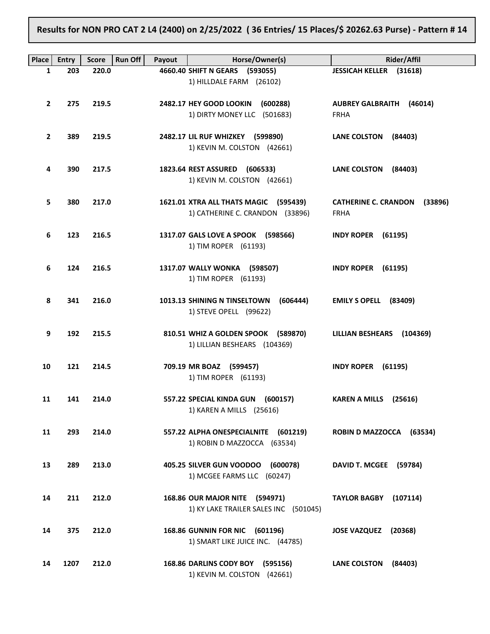Results for NON PRO CAT 2 L4 (2400) on 2/25/2022 ( 36 Entries/ 15 Places/\$ 20262.63 Purse) - Pattern # 14

| Place          | <b>Entry</b> | <b>Score</b> | <b>Run Off</b><br>Payout | Horse/Owner(s)                                                     | <b>Rider/Affil</b>                             |
|----------------|--------------|--------------|--------------------------|--------------------------------------------------------------------|------------------------------------------------|
| 1              | 203          | 220.0        |                          | 4660.40 SHIFT N GEARS (593055)                                     | <b>JESSICAH KELLER (31618)</b>                 |
|                |              |              |                          | 1) HILLDALE FARM (26102)                                           |                                                |
|                |              |              |                          |                                                                    |                                                |
| $\mathbf{2}$   | 275          | 219.5        |                          | 2482.17 HEY GOOD LOOKIN (600288)<br>1) DIRTY MONEY LLC (501683)    | <b>AUBREY GALBRAITH (46014)</b><br><b>FRHA</b> |
|                |              |              |                          |                                                                    |                                                |
| $\overline{2}$ | 389          | 219.5        |                          | 2482.17 LIL RUF WHIZKEY (599890)                                   | LANE COLSTON (84403)                           |
|                |              |              |                          | 1) KEVIN M. COLSTON (42661)                                        |                                                |
|                |              |              |                          |                                                                    |                                                |
| 4              | 390          | 217.5        |                          | 1823.64 REST ASSURED (606533)                                      | LANE COLSTON (84403)                           |
|                |              |              |                          | 1) KEVIN M. COLSTON (42661)                                        |                                                |
| 5              | 380          | 217.0        |                          | 1621.01 XTRA ALL THATS MAGIC (595439)                              | CATHERINE C. CRANDON (33896)                   |
|                |              |              |                          | 1) CATHERINE C. CRANDON (33896)                                    | <b>FRHA</b>                                    |
|                |              |              |                          |                                                                    |                                                |
| 6              | 123          | 216.5        |                          | 1317.07 GALS LOVE A SPOOK (598566)                                 | <b>INDY ROPER (61195)</b>                      |
|                |              |              |                          | 1) TIM ROPER (61193)                                               |                                                |
| 6              | 124          | 216.5        |                          | 1317.07 WALLY WONKA (598507)                                       | <b>INDY ROPER (61195)</b>                      |
|                |              |              |                          | 1) TIM ROPER (61193)                                               |                                                |
|                |              |              |                          |                                                                    |                                                |
| 8              | 341          | 216.0        |                          | 1013.13 SHINING N TINSELTOWN<br>(606444)                           | EMILY S OPELL (83409)                          |
|                |              |              |                          | 1) STEVE OPELL (99622)                                             |                                                |
| 9              | 192          | 215.5        |                          | 810.51 WHIZ A GOLDEN SPOOK (589870)                                | LILLIAN BESHEARS (104369)                      |
|                |              |              |                          | 1) LILLIAN BESHEARS (104369)                                       |                                                |
|                |              |              |                          |                                                                    |                                                |
| 10             | 121          | 214.5        |                          | 709.19 MR BOAZ (599457)                                            | <b>INDY ROPER (61195)</b>                      |
|                |              |              |                          | 1) TIM ROPER (61193)                                               |                                                |
| 11             | 141          | 214.0        |                          | 557.22 SPECIAL KINDA GUN (600157)                                  |                                                |
|                |              |              |                          | 1) KAREN A MILLS (25616)                                           | KAREN A MILLS (25616)                          |
|                |              |              |                          |                                                                    |                                                |
| 11             | 293          | 214.0        |                          | 557.22 ALPHA ONESPECIALNITE (601219)                               | <b>ROBIN D MAZZOCCA</b><br>(63534)             |
|                |              |              |                          | 1) ROBIN D MAZZOCCA (63534)                                        |                                                |
|                |              |              |                          |                                                                    |                                                |
| 13             | 289          | 213.0        |                          | 405.25 SILVER GUN VOODOO<br>(600078)<br>1) MCGEE FARMS LLC (60247) | DAVID T. MCGEE (59784)                         |
|                |              |              |                          |                                                                    |                                                |
| 14             | 211          | 212.0        |                          | 168.86 OUR MAJOR NITE (594971)                                     | <b>TAYLOR BAGBY</b><br>(107114)                |
|                |              |              |                          | 1) KY LAKE TRAILER SALES INC (501045)                              |                                                |
|                |              |              |                          |                                                                    |                                                |
| 14             | 375          | 212.0        |                          | 168.86 GUNNIN FOR NIC (601196)                                     | <b>JOSE VAZQUEZ</b><br>(20368)                 |
|                |              |              |                          | 1) SMART LIKE JUICE INC. (44785)                                   |                                                |
| 14             | 1207         | 212.0        |                          | 168.86 DARLINS CODY BOY (595156)                                   | <b>LANE COLSTON</b><br>(84403)                 |
|                |              |              |                          | 1) KEVIN M. COLSTON (42661)                                        |                                                |
|                |              |              |                          |                                                                    |                                                |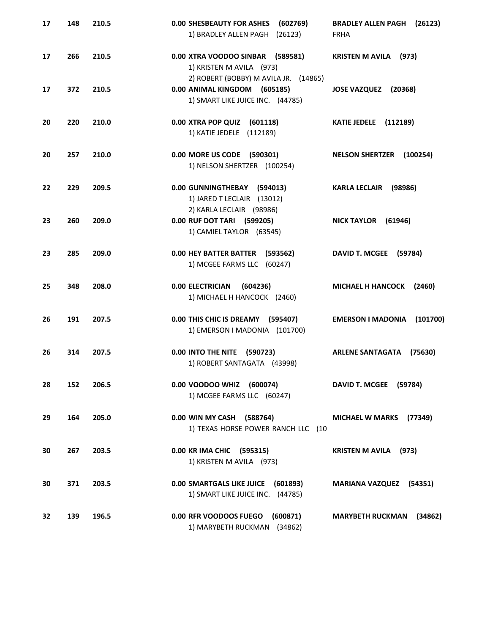| 17 | 148 | 210.5 | <b>0.00 SHESBEAUTY FOR ASHES</b><br>(602769)<br>1) BRADLEY ALLEN PAGH (26123)                         | <b>BRADLEY ALLEN PAGH</b><br>(26123)<br><b>FRHA</b> |
|----|-----|-------|-------------------------------------------------------------------------------------------------------|-----------------------------------------------------|
| 17 | 266 | 210.5 | 0.00 XTRA VOODOO SINBAR (589581)<br>1) KRISTEN M AVILA (973)<br>2) ROBERT (BOBBY) M AVILA JR. (14865) | <b>KRISTEN M AVILA</b> (973)                        |
| 17 | 372 | 210.5 | 0.00 ANIMAL KINGDOM (605185)<br>1) SMART LIKE JUICE INC. (44785)                                      | <b>JOSE VAZQUEZ</b><br>(20368)                      |
| 20 | 220 | 210.0 | 0.00 XTRA POP QUIZ (601118)<br>1) KATIE JEDELE (112189)                                               | <b>KATIE JEDELE</b> (112189)                        |
| 20 | 257 | 210.0 | 0.00 MORE US CODE (590301)<br>1) NELSON SHERTZER (100254)                                             | <b>NELSON SHERTZER</b><br>(100254)                  |
| 22 | 229 | 209.5 | 0.00 GUNNINGTHEBAY (594013)<br>1) JARED T LECLAIR (13012)<br>2) KARLA LECLAIR (98986)                 | <b>KARLA LECLAIR</b><br>(98986)                     |
| 23 | 260 | 209.0 | 0.00 RUF DOT TARI (599205)<br>1) CAMIEL TAYLOR (63545)                                                | <b>NICK TAYLOR</b><br>(61946)                       |
| 23 | 285 | 209.0 | 0.00 HEY BATTER BATTER (593562)<br>1) MCGEE FARMS LLC (60247)                                         | <b>DAVID T. MCGEE</b><br>(59784)                    |
| 25 | 348 | 208.0 | <b>0.00 ELECTRICIAN</b><br>(604236)<br>1) MICHAEL H HANCOCK (2460)                                    | <b>MICHAEL H HANCOCK</b><br>(2460)                  |
| 26 | 191 | 207.5 | 0.00 THIS CHIC IS DREAMY (595407)<br>1) EMERSON I MADONIA (101700)                                    | <b>EMERSON I MADONIA</b><br>(101700)                |
| 26 | 314 | 207.5 | 0.00 INTO THE NITE (590723)<br>1) ROBERT SANTAGATA (43998)                                            | <b>ARLENE SANTAGATA</b><br>(75630)                  |
| 28 | 152 | 206.5 | 0.00 VOODOO WHIZ (600074)<br>1) MCGEE FARMS LLC (60247)                                               | DAVID T. MCGEE (59784)                              |
| 29 | 164 | 205.0 | 0.00 WIN MY CASH (588764)<br>1) TEXAS HORSE POWER RANCH LLC (10                                       | <b>MICHAEL W MARKS</b><br>(77349)                   |
| 30 | 267 | 203.5 | 0.00 KR IMA CHIC (595315)<br>1) KRISTEN M AVILA (973)                                                 | <b>KRISTEN M AVILA</b> (973)                        |
| 30 | 371 | 203.5 | 0.00 SMARTGALS LIKE JUICE (601893)<br>1) SMART LIKE JUICE INC. (44785)                                | <b>MARIANA VAZQUEZ (54351)</b>                      |
| 32 | 139 | 196.5 | 0.00 RFR VOODOOS FUEGO (600871)<br>1) MARYBETH RUCKMAN (34862)                                        | <b>MARYBETH RUCKMAN</b><br>(34862)                  |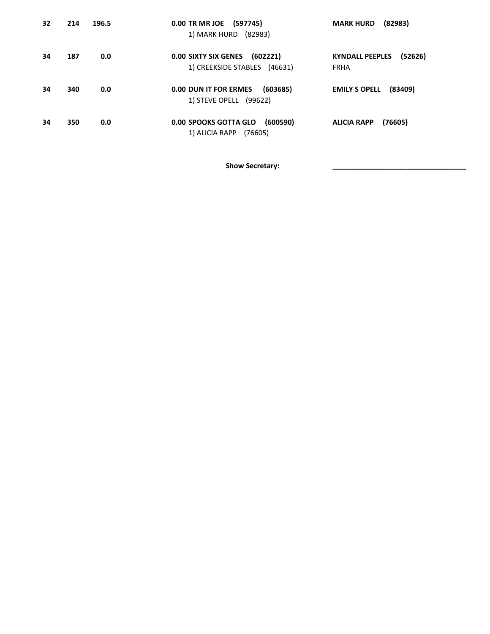| 32 | 214 | 196.5 | 0.00 TR MR JOE (597745)<br>1) MARK HURD (82983)                         | (82983)<br><b>MARK HURD</b>                      |
|----|-----|-------|-------------------------------------------------------------------------|--------------------------------------------------|
| 34 | 187 | 0.0   | <b>0.00 SIXTY SIX GENES</b><br>(602221)<br>1) CREEKSIDE STABLES (46631) | <b>KYNDALL PEEPLES</b><br>(52626)<br><b>FRHA</b> |
| 34 | 340 | 0.0   | (603685)<br>0.00 DUN IT FOR ERMES<br>1) STEVE OPELL (99622)             | <b>EMILY S OPELL</b><br>(83409)                  |
| 34 | 350 | 0.0   | 0.00 SPOOKS GOTTA GLO<br>(600590)<br>1) ALICIA RAPP<br>(76605)          | (76605)<br><b>ALICIA RAPP</b>                    |

Show Secretary: